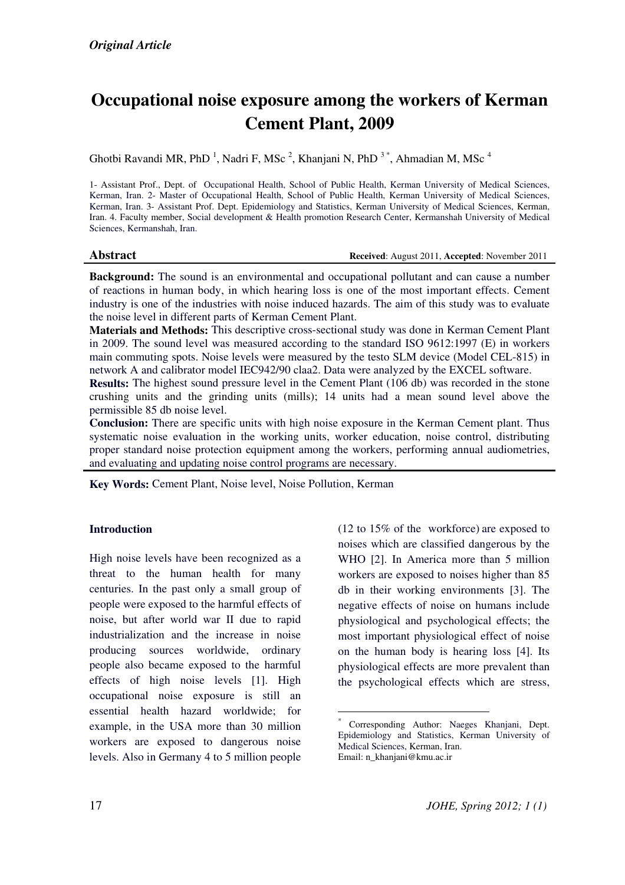# Occupational noise exposure among the workers of Kerman Cement Plant, 2009

Ghotbi Ravandi MR, PhD<sup>1</sup>, Nadri F, MSc<sup>2</sup>, Khanjani N, PhD<sup>3\*</sup>, Ahmadian M, MSc<sup>4</sup>

1- Assistant Prof., Dept. of Occupational Health, School of Public Health, Kerman University of Medical Sciences, Kerman, Iran. 2- Master of Occupational Health, School of Public Health, Kerman University of Medical Sciences, Kerman, Iran. 3- Assistant Prof. Dept. Epidemiology and Statistics, Kerman University of Medical Sciences, Kerman, Iran. 4. Faculty member, Social development & Health promotion Research Center, Kermanshah University of Medical Sciences, Kermanshah, Iran.

Abstract **Abstract** Received: August 2011, Accepted: November 2011

Background: The sound is an environmental and occupational pollutant and can cause a number of reactions in human body, in which hearing loss is one of the most important effects. Cement industry is one of the industries with noise induced hazards. The aim of this study was to evaluate the noise level in different parts of Kerman Cement Plant.

Materials and Methods: This descriptive cross-sectional study was done in Kerman Cement Plant in 2009. The sound level was measured according to the standard ISO 9612:1997 (E) in workers main commuting spots. Noise levels were measured by the testo SLM device (Model CEL-815) in network A and calibrator model IEC942/90 claa2. Data were analyzed by the EXCEL software.

Results: The highest sound pressure level in the Cement Plant (106 db) was recorded in the stone crushing units and the grinding units (mills); 14 units had a mean sound level above the permissible 85 db noise level.

Conclusion: There are specific units with high noise exposure in the Kerman Cement plant. Thus systematic noise evaluation in the working units, worker education, noise control, distributing proper standard noise protection equipment among the workers, performing annual audiometries, and evaluating and updating noise control programs are necessary.

 $\overline{a}$ 

Key Words: Cement Plant, Noise level, Noise Pollution, Kerman

#### **Introduction**

High noise levels have been recognized as a threat to the human health for many centuries. In the past only a small group of people were exposed to the harmful effects of noise, but after world war II due to rapid industrialization and the increase in noise producing sources worldwide, ordinary people also became exposed to the harmful effects of high noise levels [1]. High occupational noise exposure is still an essential health hazard worldwide; for example, in the USA more than 30 million workers are exposed to dangerous noise levels. Also in Germany 4 to 5 million people

 $(12 \text{ to } 15\% \text{ of the workforce})$  are exposed to noises which are classified dangerous by the WHO [2]. In America more than 5 million workers are exposed to noises higher than 85 db in their working environments [3]. The negative effects of noise on humans include physiological and psychological effects; the most important physiological effect of noise on the human body is hearing loss [4]. Its physiological effects are more prevalent than the psychological effects which are stress,

Corresponding Author: Naeges Khanjani, Dept. Epidemiology and Statistics, Kerman University of Medical Sciences, Kerman, Iran. Email: n\_khanjani@kmu.ac.ir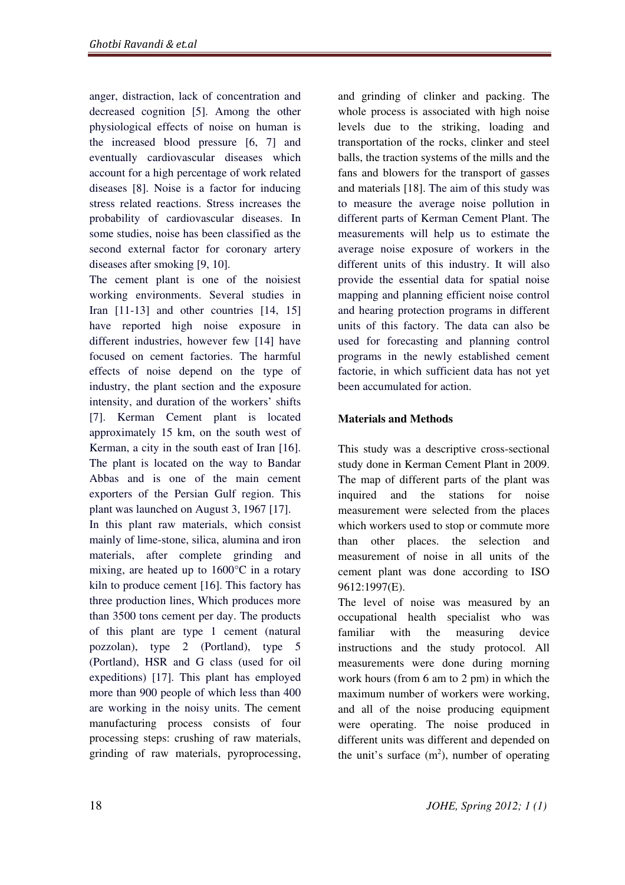anger, distraction, lack of concentration and decreased cognition [5]. Among the other physiological effects of noise on human is the increased blood pressure [6, 7] and eventually cardiovascular diseases which account for a high percentage of work related diseases [8]. Noise is a factor for inducing stress related reactions. Stress increases the probability of cardiovascular diseases. In some studies, noise has been classified as the second external factor for coronary artery diseases after smoking [9, 10].

The cement plant is one of the noisiest working environments. Several studies in Iran [11-13] and other countries [14, 15] have reported high noise exposure in different industries, however few [14] have focused on cement factories. The harmful effects of noise depend on the type of industry, the plant section and the exposure intensity, and duration of the workers' shifts [7]. Kerman Cement plant is located approximately 15 km, on the south west of Kerman, a city in the south east of Iran [16]. The plant is located on the way to Bandar Abbas and is one of the main cement exporters of the Persian Gulf region. This plant was launched on August 3, 1967 [17].

In this plant raw materials, which consist mainly of lime-stone, silica, alumina and iron materials, after complete grinding and mixing, are heated up to 1600°C in a rotary kiln to produce cement [16]. This factory has three production lines, Which produces more than 3500 tons cement per day. The products of this plant are type 1 cement (natural pozzolan), type 2 (Portland), type 5 (Portland), HSR and G class (used for oil expeditions) [17]. This plant has employed more than 900 people of which less than 400 are working in the noisy units. The cement manufacturing process consists of four processing steps: crushing of raw materials, grinding of raw materials, pyroprocessing,

and grinding of clinker and packing. The whole process is associated with high noise levels due to the striking, loading and transportation of the rocks, clinker and steel balls, the traction systems of the mills and the fans and blowers for the transport of gasses and materials [18]. The aim of this study was to measure the average noise pollution in different parts of Kerman Cement Plant. The measurements will help us to estimate the average noise exposure of workers in the different units of this industry. It will also provide the essential data for spatial noise mapping and planning efficient noise control and hearing protection programs in different units of this factory. The data can also be used for forecasting and planning control programs in the newly established cement factorie, in which sufficient data has not yet been accumulated for action.

## Materials and Methods

This study was a descriptive cross-sectional study done in Kerman Cement Plant in 2009. The map of different parts of the plant was inquired and the stations for noise measurement were selected from the places which workers used to stop or commute more than other places. the selection and measurement of noise in all units of the cement plant was done according to ISO 9612:1997(E).

The level of noise was measured by an occupational health specialist who was familiar with the measuring device instructions and the study protocol. All measurements were done during morning work hours (from 6 am to 2 pm) in which the maximum number of workers were working, and all of the noise producing equipment were operating. The noise produced in different units was different and depended on the unit's surface  $(m^2)$ , number of operating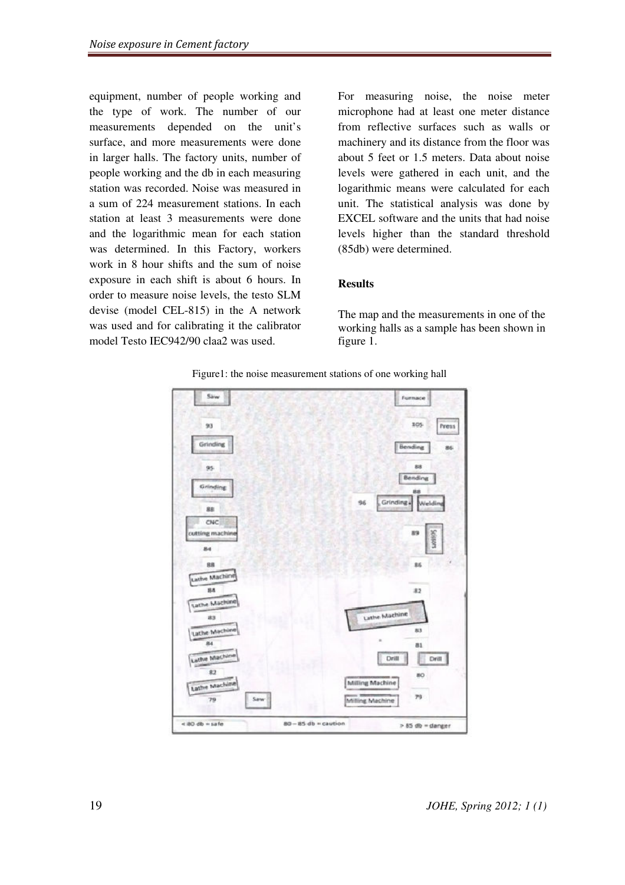equipment, number of people working and the type of work. The number of our measurements depended on the unit's surface, and more measurements were done in larger halls. The factory units, number of people working and the db in each measuring station was recorded. Noise was measured in a sum of 224 measurement stations. In each station at least 3 measurements were done and the logarithmic mean for each station was determined. In this Factory, workers work in 8 hour shifts and the sum of noise exposure in each shift is about 6 hours. In order to measure noise levels, the testo SLM devise (model CEL-815) in the A network was used and for calibrating it the calibrator model Testo IEC942/90 claa2 was used.

For measuring noise, the noise meter microphone had at least one meter distance from reflective surfaces such as walls or machinery and its distance from the floor was about 5 feet or 1.5 meters. Data about noise levels were gathered in each unit, and the logarithmic means were calculated for each unit. The statistical analysis was done by EXCEL software and the units that had noise levels higher than the standard threshold (85db) were determined.

#### Results

The map and the measurements in one of the working halls as a sample has been shown in figure 1.



Figure1: the noise measurement stations of one working hall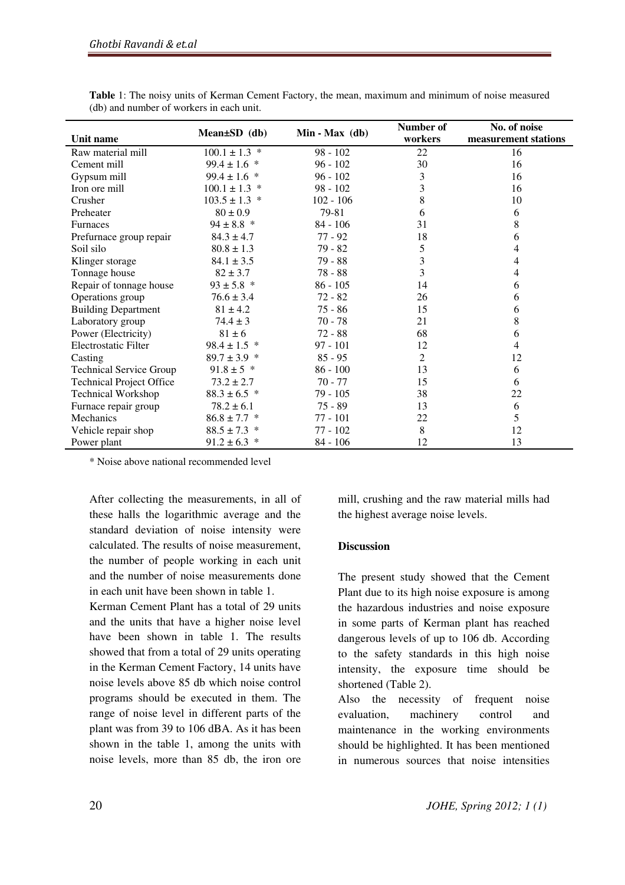|                                 | $Mean \pm SD$ (db) | Min - Max (db) | Number of | No. of noise         |
|---------------------------------|--------------------|----------------|-----------|----------------------|
| Unit name                       |                    |                | workers   | measurement stations |
| Raw material mill               | $100.1 \pm 1.3$ *  | $98 - 102$     | 22        | 16                   |
| Cement mill                     | $99.4 \pm 1.6$ *   | $96 - 102$     | 30        | 16                   |
| Gypsum mill                     | $99.4 \pm 1.6$ *   | $96 - 102$     | 3         | 16                   |
| Iron ore mill                   | $100.1 \pm 1.3$ *  | $98 - 102$     | 3         | 16                   |
| Crusher                         | $103.5 \pm 1.3$ *  | $102 - 106$    | 8         | 10                   |
| Preheater                       | $80 \pm 0.9$       | 79-81          | 6         | 6                    |
| <b>Furnaces</b>                 | $94 \pm 8.8$ *     | $84 - 106$     | 31        | 8                    |
| Prefurnace group repair         | $84.3 \pm 4.7$     | $77 - 92$      | 18        | 6                    |
| Soil silo                       | $80.8 \pm 1.3$     | $79 - 82$      | 5         | 4                    |
| Klinger storage                 | $84.1 \pm 3.5$     | 79 - 88        | 3         | 4                    |
| Tonnage house                   | $82 \pm 3.7$       | $78 - 88$      | 3         | 4                    |
| Repair of tonnage house         | $93 \pm 5.8$ *     | $86 - 105$     | 14        | 6                    |
| Operations group                | $76.6 \pm 3.4$     | $72 - 82$      | 26        | 6                    |
| <b>Building Department</b>      | $81 \pm 4.2$       | $75 - 86$      | 15        | 6                    |
| Laboratory group                | $74.4 \pm 3$       | $70 - 78$      | 21        | 8                    |
| Power (Electricity)             | $81 \pm 6$         | $72 - 88$      | 68        | 6                    |
| Electrostatic Filter            | $98.4 \pm 1.5$ *   | $97 - 101$     | 12        | 4                    |
| Casting                         | $89.7 \pm 3.9$ *   | $85 - 95$      | 2         | 12                   |
| <b>Technical Service Group</b>  | $91.8 \pm 5$ *     | $86 - 100$     | 13        | 6                    |
| <b>Technical Project Office</b> | $73.2 \pm 2.7$     | $70 - 77$      | 15        | 6                    |
| <b>Technical Workshop</b>       | $88.3 \pm 6.5$ *   | $79 - 105$     | 38        | 22                   |
| Furnace repair group            | $78.2 \pm 6.1$     | $75 - 89$      | 13        | 6                    |
| Mechanics                       | $86.8 \pm 7.7$ *   | $77 - 101$     | 22        | 5                    |
| Vehicle repair shop             | $88.5 \pm 7.3$ *   | $77 - 102$     | 8         | 12                   |
| Power plant                     | $91.2 \pm 6.3$ *   | 84 - 106       | 12        | 13                   |

Table 1: The noisy units of Kerman Cement Factory, the mean, maximum and minimum of noise measured (db) and number of workers in each unit.

\* Noise above national recommended level

After collecting the measurements, in all of these halls the logarithmic average and the standard deviation of noise intensity were calculated. The results of noise measurement, the number of people working in each unit and the number of noise measurements done in each unit have been shown in table 1.

Kerman Cement Plant has a total of 29 units and the units that have a higher noise level have been shown in table 1. The results showed that from a total of 29 units operating in the Kerman Cement Factory, 14 units have noise levels above 85 db which noise control programs should be executed in them. The range of noise level in different parts of the plant was from 39 to 106 dBA. As it has been shown in the table 1, among the units with noise levels, more than 85 db, the iron ore

mill, crushing and the raw material mills had the highest average noise levels.

#### Discussion

The present study showed that the Cement Plant due to its high noise exposure is among the hazardous industries and noise exposure in some parts of Kerman plant has reached dangerous levels of up to 106 db. According to the safety standards in this high noise intensity, the exposure time should be shortened (Table 2).

Also the necessity of frequent noise evaluation, machinery control and maintenance in the working environments should be highlighted. It has been mentioned in numerous sources that noise intensities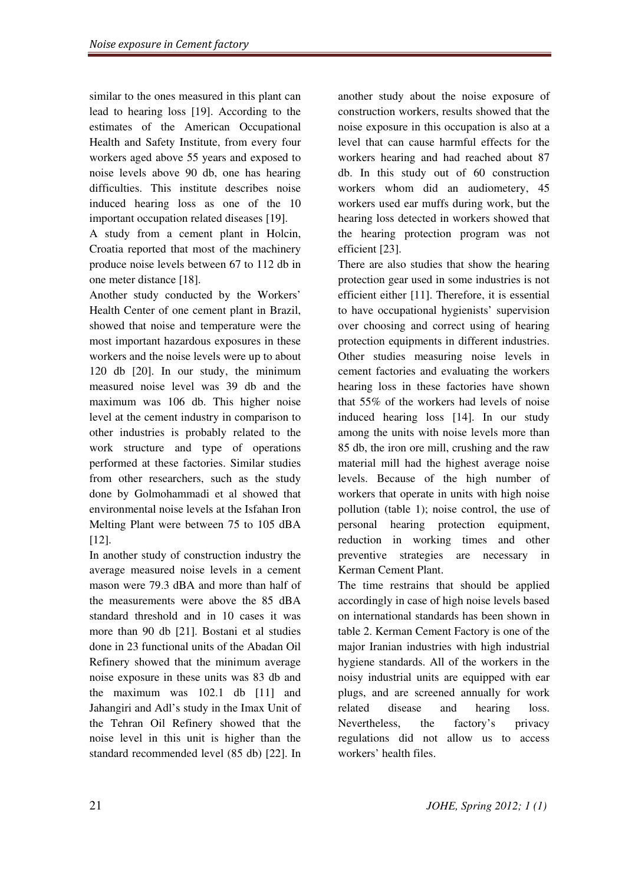similar to the ones measured in this plant can lead to hearing loss [19]. According to the estimates of the American Occupational Health and Safety Institute, from every four workers aged above 55 years and exposed to noise levels above 90 db, one has hearing difficulties. This institute describes noise induced hearing loss as one of the 10 important occupation related diseases [19].

A study from a cement plant in Holcin, Croatia reported that most of the machinery produce noise levels between 67 to 112 db in one meter distance [18].

Another study conducted by the Workers' Health Center of one cement plant in Brazil, showed that noise and temperature were the most important hazardous exposures in these workers and the noise levels were up to about 120 db [20]. In our study, the minimum measured noise level was 39 db and the maximum was 106 db. This higher noise level at the cement industry in comparison to other industries is probably related to the work structure and type of operations performed at these factories. Similar studies from other researchers, such as the study done by Golmohammadi et al showed that environmental noise levels at the Isfahan Iron Melting Plant were between 75 to 105 dBA [12].

In another study of construction industry the average measured noise levels in a cement mason were 79.3 dBA and more than half of the measurements were above the 85 dBA standard threshold and in 10 cases it was more than 90 db [21]. Bostani et al studies done in 23 functional units of the Abadan Oil Refinery showed that the minimum average noise exposure in these units was 83 db and the maximum was 102.1 db [11] and Jahangiri and Adl's study in the Imax Unit of the Tehran Oil Refinery showed that the noise level in this unit is higher than the standard recommended level (85 db) [22]. In another study about the noise exposure of construction workers, results showed that the noise exposure in this occupation is also at a level that can cause harmful effects for the workers hearing and had reached about 87 db. In this study out of 60 construction workers whom did an audiometery, 45 workers used ear muffs during work, but the hearing loss detected in workers showed that the hearing protection program was not efficient [23].

There are also studies that show the hearing protection gear used in some industries is not efficient either [11]. Therefore, it is essential to have occupational hygienists' supervision over choosing and correct using of hearing protection equipments in different industries. Other studies measuring noise levels in cement factories and evaluating the workers hearing loss in these factories have shown that 55% of the workers had levels of noise induced hearing loss [14]. In our study among the units with noise levels more than 85 db, the iron ore mill, crushing and the raw material mill had the highest average noise levels. Because of the high number of workers that operate in units with high noise pollution (table 1); noise control, the use of personal hearing protection equipment, reduction in working times and other preventive strategies are necessary in Kerman Cement Plant.

The time restrains that should be applied accordingly in case of high noise levels based on international standards has been shown in table 2. Kerman Cement Factory is one of the major Iranian industries with high industrial hygiene standards. All of the workers in the noisy industrial units are equipped with ear plugs, and are screened annually for work related disease and hearing loss. Nevertheless, the factory's privacy regulations did not allow us to access workers' health files.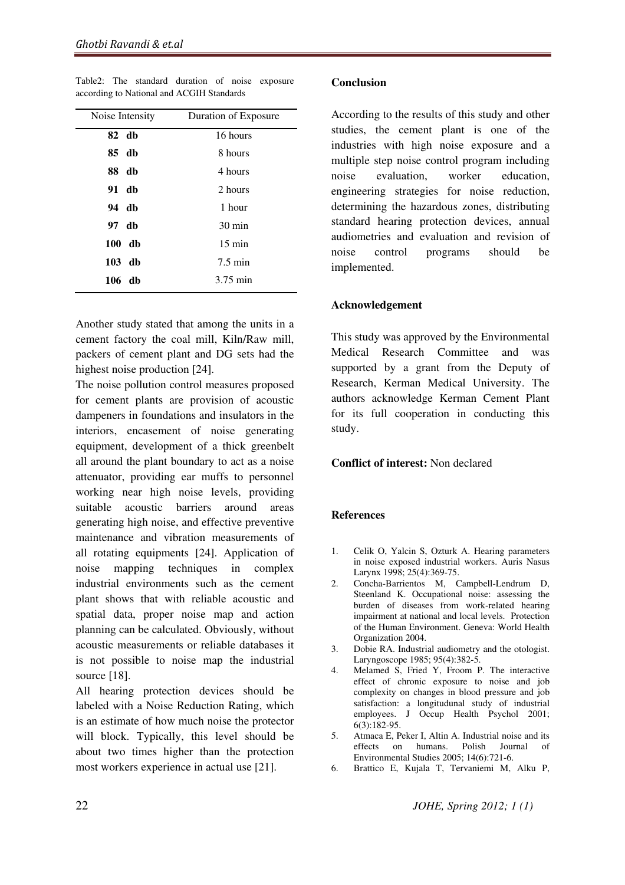| Noise Intensity | Duration of Exposure |  |
|-----------------|----------------------|--|
| 82 db           | 16 hours             |  |
| 85 db           | 8 hours              |  |
| 88 db           | 4 hours              |  |
| 91 db           | 2 hours              |  |
| 94 db           | 1 hour               |  |
| 97 db           | $30 \text{ min}$     |  |
| 100 db          | $15 \text{ min}$     |  |
| $103$ db        | $7.5 \text{ min}$    |  |
| 106 db          | 3.75 min             |  |

Table2: The standard duration of noise exposure according to National and ACGIH Standards

Another study stated that among the units in a cement factory the coal mill, Kiln/Raw mill, packers of cement plant and DG sets had the highest noise production [24].

The noise pollution control measures proposed for cement plants are provision of acoustic dampeners in foundations and insulators in the interiors, encasement of noise generating equipment, development of a thick greenbelt all around the plant boundary to act as a noise attenuator, providing ear muffs to personnel working near high noise levels, providing suitable acoustic barriers around areas generating high noise, and effective preventive maintenance and vibration measurements of all rotating equipments [24]. Application of noise mapping techniques in complex industrial environments such as the cement plant shows that with reliable acoustic and spatial data, proper noise map and action planning can be calculated. Obviously, without acoustic measurements or reliable databases it is not possible to noise map the industrial source [18].

All hearing protection devices should be labeled with a Noise Reduction Rating, which is an estimate of how much noise the protector will block. Typically, this level should be about two times higher than the protection most workers experience in actual use [21].

#### **Conclusion**

According to the results of this study and other studies, the cement plant is one of the industries with high noise exposure and a multiple step noise control program including noise evaluation, worker education, engineering strategies for noise reduction, determining the hazardous zones, distributing standard hearing protection devices, annual audiometries and evaluation and revision of noise control programs should be implemented.

#### Acknowledgement

This study was approved by the Environmental Medical Research Committee and was supported by a grant from the Deputy of Research, Kerman Medical University. The authors acknowledge Kerman Cement Plant for its full cooperation in conducting this study.

### Conflict of interest: Non declared

### **References**

- 1. Celik O, Yalcin S, Ozturk A. Hearing parameters in noise exposed industrial workers. Auris Nasus Larynx 1998; 25(4):369-75.
- 2. Concha-Barrientos M, Campbell-Lendrum D, Steenland K. Occupational noise: assessing the burden of diseases from work-related hearing impairment at national and local levels. Protection of the Human Environment. Geneva: World Health Organization 2004.
- 3. Dobie RA. Industrial audiometry and the otologist. Laryngoscope 1985; 95(4):382-5.
- 4. Melamed S, Fried Y, Froom P. The interactive effect of chronic exposure to noise and job complexity on changes in blood pressure and job satisfaction: a longitudunal study of industrial employees. J Occup Health Psychol 2001; 6(3):182-95.
- 5. Atmaca E, Peker I, Altin A. Industrial noise and its effects on humans. Polish Journal of Environmental Studies 2005; 14(6):721-6.
- 6. Brattico E, Kujala T, Tervaniemi M, Alku P,